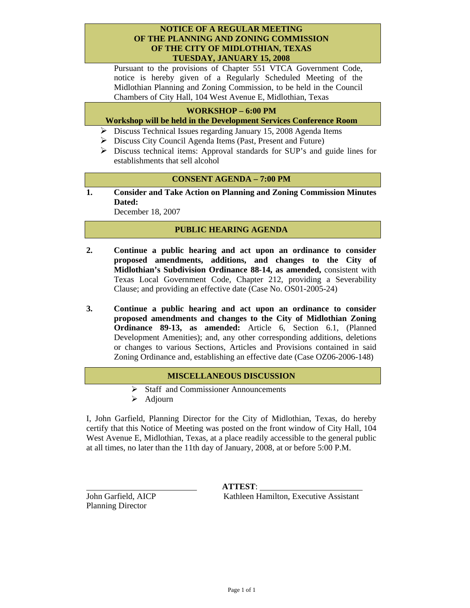#### **NOTICE OF A REGULAR MEETING OF THE PLANNING AND ZONING COMMISSION OF THE CITY OF MIDLOTHIAN, TEXAS TUESDAY, JANUARY 15, 2008**

Pursuant to the provisions of Chapter 551 VTCA Government Code, notice is hereby given of a Regularly Scheduled Meeting of the Midlothian Planning and Zoning Commission, to be held in the Council Chambers of City Hall, 104 West Avenue E, Midlothian, Texas

# **WORKSHOP – 6:00 PM**

#### **Workshop will be held in the Development Services Conference Room**

- ¾ Discuss Technical Issues regarding January 15, 2008 Agenda Items
- ¾ Discuss City Council Agenda Items (Past, Present and Future)
- ¾ Discuss technical items: Approval standards for SUP's and guide lines for establishments that sell alcohol

# **CONSENT AGENDA – 7:00 PM**

**1. Consider and Take Action on Planning and Zoning Commission Minutes Dated:** 

December 18, 2007

## **PUBLIC HEARING AGENDA**

- **2. Continue a public hearing and act upon an ordinance to consider proposed amendments, additions, and changes to the City of Midlothian's Subdivision Ordinance 88-14, as amended,** consistent with Texas Local Government Code, Chapter 212, providing a Severability Clause; and providing an effective date (Case No. OS01-2005-24)
- **3. Continue a public hearing and act upon an ordinance to consider proposed amendments and changes to the City of Midlothian Zoning Ordinance 89-13, as amended:** Article 6, Section 6.1, (Planned Development Amenities); and, any other corresponding additions, deletions or changes to various Sections, Articles and Provisions contained in said Zoning Ordinance and, establishing an effective date (Case OZ06-2006-148)

## **MISCELLANEOUS DISCUSSION**

- ¾ Staff and Commissioner Announcements
- $\triangleright$  Adjourn

I, John Garfield, Planning Director for the City of Midlothian, Texas, do hereby certify that this Notice of Meeting was posted on the front window of City Hall, 104 West Avenue E, Midlothian, Texas, at a place readily accessible to the general public at all times, no later than the 11th day of January, 2008, at or before 5:00 P.M.

Planning Director

 **ATTEST**: John Garfield, AICP Kathleen Hamilton, Executive Assistant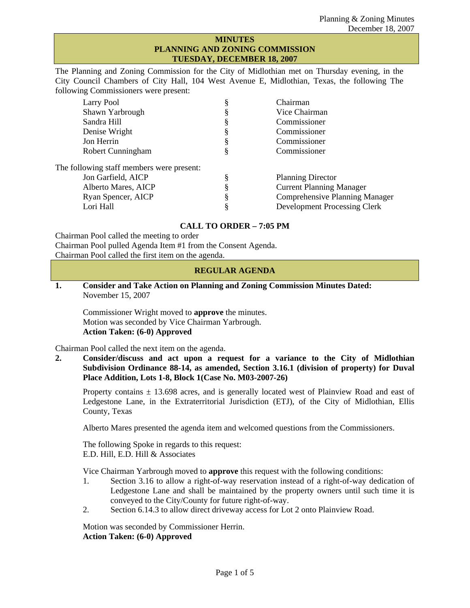#### **MINUTES PLANNING AND ZONING COMMISSION TUESDAY, DECEMBER 18, 2007**

The Planning and Zoning Commission for the City of Midlothian met on Thursday evening, in the City Council Chambers of City Hall, 104 West Avenue E, Midlothian, Texas, the following The following Commissioners were present:

| Larry Pool                                |   | Chairman                              |
|-------------------------------------------|---|---------------------------------------|
| Shawn Yarbrough                           |   | Vice Chairman                         |
| Sandra Hill                               |   | Commissioner                          |
| Denise Wright                             | э | Commissioner                          |
| Jon Herrin                                |   | Commissioner                          |
| Robert Cunningham                         |   | Commissioner                          |
| The following staff members were present: |   |                                       |
| Jon Garfield, AICP                        |   | <b>Planning Director</b>              |
| Alberto Mares, AICP                       |   | <b>Current Planning Manager</b>       |
| Ryan Spencer, AICP                        |   | <b>Comprehensive Planning Manager</b> |
| Lori Hall                                 |   | <b>Development Processing Clerk</b>   |
|                                           |   |                                       |

# **CALL TO ORDER – 7:05 PM**

Chairman Pool called the meeting to order Chairman Pool pulled Agenda Item #1 from the Consent Agenda. Chairman Pool called the first item on the agenda.

## **REGULAR AGENDA**

**1. Consider and Take Action on Planning and Zoning Commission Minutes Dated:**  November 15, 2007

 Commissioner Wright moved to **approve** the minutes. Motion was seconded by Vice Chairman Yarbrough.  **Action Taken: (6-0) Approved** 

Chairman Pool called the next item on the agenda.

**2. Consider/discuss and act upon a request for a variance to the City of Midlothian Subdivision Ordinance 88-14, as amended, Section 3.16.1 (division of property) for Duval Place Addition, Lots 1-8, Block 1(Case No. M03-2007-26)** 

Property contains  $\pm$  13.698 acres, and is generally located west of Plainview Road and east of Ledgestone Lane, in the Extraterritorial Jurisdiction (ETJ), of the City of Midlothian, Ellis County, Texas

Alberto Mares presented the agenda item and welcomed questions from the Commissioners.

The following Spoke in regards to this request: E.D. Hill, E.D. Hill & Associates

Vice Chairman Yarbrough moved to **approve** this request with the following conditions:

- 1. Section 3.16 to allow a right-of-way reservation instead of a right-of-way dedication of Ledgestone Lane and shall be maintained by the property owners until such time it is conveyed to the City/County for future right-of-way.
- 2. Section 6.14.3 to allow direct driveway access for Lot 2 onto Plainview Road.

Motion was seconded by Commissioner Herrin. **Action Taken: (6-0) Approved**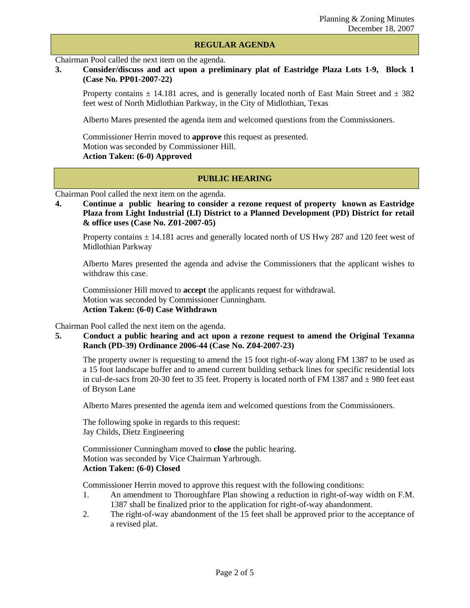#### **REGULAR AGENDA**

Chairman Pool called the next item on the agenda.

# **3. Consider/discuss and act upon a preliminary plat of Eastridge Plaza Lots 1-9, Block 1 (Case No. PP01-2007-22)**

Property contains  $\pm$  14.181 acres, and is generally located north of East Main Street and  $\pm$  382 feet west of North Midlothian Parkway, in the City of Midlothian, Texas

Alberto Mares presented the agenda item and welcomed questions from the Commissioners.

Commissioner Herrin moved to **approve** this request as presented. Motion was seconded by Commissioner Hill. **Action Taken: (6-0) Approved**

## **PUBLIC HEARING**

Chairman Pool called the next item on the agenda.

**4. Continue a public hearing to consider a rezone request of property known as Eastridge Plaza from Light Industrial (LI) District to a Planned Development (PD) District for retail & office uses (Case No. Z01-2007-05)** 

Property contains  $\pm$  14.181 acres and generally located north of US Hwy 287 and 120 feet west of Midlothian Parkway

 Alberto Mares presented the agenda and advise the Commissioners that the applicant wishes to withdraw this case.

Commissioner Hill moved to **accept** the applicants request for withdrawal. Motion was seconded by Commissioner Cunningham. **Action Taken: (6-0) Case Withdrawn** 

Chairman Pool called the next item on the agenda.

#### **5. Conduct a public hearing and act upon a rezone request to amend the Original Texanna Ranch (PD-39) Ordinance 2006-44 (Case No. Z04-2007-23)**

The property owner is requesting to amend the 15 foot right-of-way along FM 1387 to be used as a 15 foot landscape buffer and to amend current building setback lines for specific residential lots in cul-de-sacs from 20-30 feet to 35 feet. Property is located north of FM 1387 and  $\pm$  980 feet east of Bryson Lane

Alberto Mares presented the agenda item and welcomed questions from the Commissioners.

The following spoke in regards to this request: Jay Childs, Dietz Engineering

Commissioner Cunningham moved to **close** the public hearing. Motion was seconded by Vice Chairman Yarbrough. **Action Taken: (6-0) Closed** 

Commissioner Herrin moved to approve this request with the following conditions:

- 1. An amendment to Thoroughfare Plan showing a reduction in right-of-way width on F.M. 1387 shall be finalized prior to the application for right-of-way abandonment.
- 2. The right-of-way abandonment of the 15 feet shall be approved prior to the acceptance of a revised plat.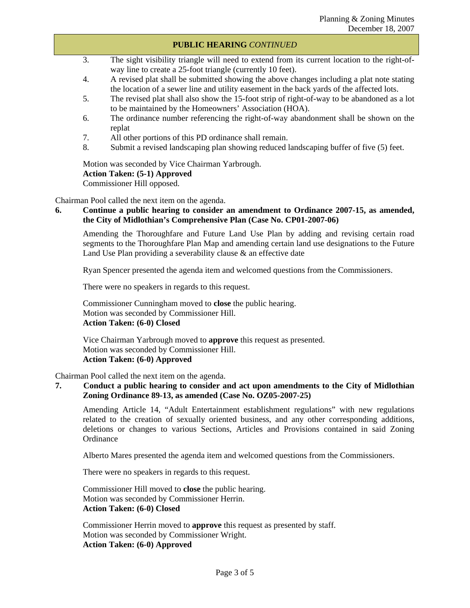#### **PUBLIC HEARING** *CONTINUED*

- 3. The sight visibility triangle will need to extend from its current location to the right-ofway line to create a 25-foot triangle (currently 10 feet).
- 4. A revised plat shall be submitted showing the above changes including a plat note stating the location of a sewer line and utility easement in the back yards of the affected lots.
- 5. The revised plat shall also show the 15-foot strip of right-of-way to be abandoned as a lot to be maintained by the Homeowners' Association (HOA).
- 6. The ordinance number referencing the right-of-way abandonment shall be shown on the replat
- 7. All other portions of this PD ordinance shall remain.
- 8. Submit a revised landscaping plan showing reduced landscaping buffer of five (5) feet.

Motion was seconded by Vice Chairman Yarbrough.

**Action Taken: (5-1) Approved** 

Commissioner Hill opposed.

Chairman Pool called the next item on the agenda.

**6. Continue a public hearing to consider an amendment to Ordinance 2007-15, as amended, the City of Midlothian's Comprehensive Plan (Case No. CP01-2007-06)** 

 Amending the Thoroughfare and Future Land Use Plan by adding and revising certain road segments to the Thoroughfare Plan Map and amending certain land use designations to the Future Land Use Plan providing a severability clause & an effective date

Ryan Spencer presented the agenda item and welcomed questions from the Commissioners.

There were no speakers in regards to this request.

Commissioner Cunningham moved to **close** the public hearing. Motion was seconded by Commissioner Hill. **Action Taken: (6-0) Closed** 

Vice Chairman Yarbrough moved to **approve** this request as presented. Motion was seconded by Commissioner Hill. **Action Taken: (6-0) Approved** 

Chairman Pool called the next item on the agenda.

## **7. Conduct a public hearing to consider and act upon amendments to the City of Midlothian Zoning Ordinance 89-13, as amended (Case No. OZ05-2007-25)**

 Amending Article 14, "Adult Entertainment establishment regulations" with new regulations related to the creation of sexually oriented business, and any other corresponding additions, deletions or changes to various Sections, Articles and Provisions contained in said Zoning **Ordinance** 

Alberto Mares presented the agenda item and welcomed questions from the Commissioners.

There were no speakers in regards to this request.

Commissioner Hill moved to **close** the public hearing. Motion was seconded by Commissioner Herrin. **Action Taken: (6-0) Closed**

Commissioner Herrin moved to **approve** this request as presented by staff. Motion was seconded by Commissioner Wright. **Action Taken: (6-0) Approved**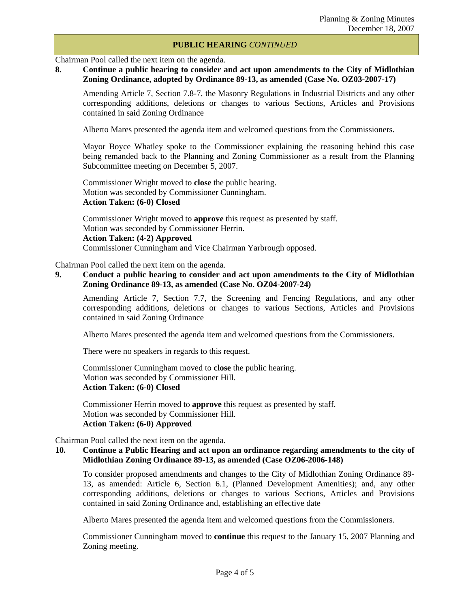#### **PUBLIC HEARING** *CONTINUED*

Chairman Pool called the next item on the agenda.

# **8. Continue a public hearing to consider and act upon amendments to the City of Midlothian Zoning Ordinance, adopted by Ordinance 89-13, as amended (Case No. OZ03-2007-17)**

 Amending Article 7, Section 7.8-7, the Masonry Regulations in Industrial Districts and any other corresponding additions, deletions or changes to various Sections, Articles and Provisions contained in said Zoning Ordinance

Alberto Mares presented the agenda item and welcomed questions from the Commissioners.

 Mayor Boyce Whatley spoke to the Commissioner explaining the reasoning behind this case being remanded back to the Planning and Zoning Commissioner as a result from the Planning Subcommittee meeting on December 5, 2007.

 Commissioner Wright moved to **close** the public hearing. Motion was seconded by Commissioner Cunningham.  **Action Taken: (6-0) Closed** 

 Commissioner Wright moved to **approve** this request as presented by staff. Motion was seconded by Commissioner Herrin.  **Action Taken: (4-2) Approved**  Commissioner Cunningham and Vice Chairman Yarbrough opposed.

Chairman Pool called the next item on the agenda.

#### **9. Conduct a public hearing to consider and act upon amendments to the City of Midlothian Zoning Ordinance 89-13, as amended (Case No. OZ04-2007-24)**

 Amending Article 7, Section 7.7, the Screening and Fencing Regulations, and any other corresponding additions, deletions or changes to various Sections, Articles and Provisions contained in said Zoning Ordinance

Alberto Mares presented the agenda item and welcomed questions from the Commissioners.

There were no speakers in regards to this request.

 Commissioner Cunningham moved to **close** the public hearing. Motion was seconded by Commissioner Hill.  **Action Taken: (6-0) Closed** 

 Commissioner Herrin moved to **approve** this request as presented by staff. Motion was seconded by Commissioner Hill.  **Action Taken: (6-0) Approved** 

Chairman Pool called the next item on the agenda.

# **10. Continue a Public Hearing and act upon an ordinance regarding amendments to the city of Midlothian Zoning Ordinance 89-13, as amended (Case OZ06-2006-148)**

 To consider proposed amendments and changes to the City of Midlothian Zoning Ordinance 89- 13, as amended: Article 6, Section 6.1, (Planned Development Amenities); and, any other corresponding additions, deletions or changes to various Sections, Articles and Provisions contained in said Zoning Ordinance and, establishing an effective date

Alberto Mares presented the agenda item and welcomed questions from the Commissioners.

 Commissioner Cunningham moved to **continue** this request to the January 15, 2007 Planning and Zoning meeting.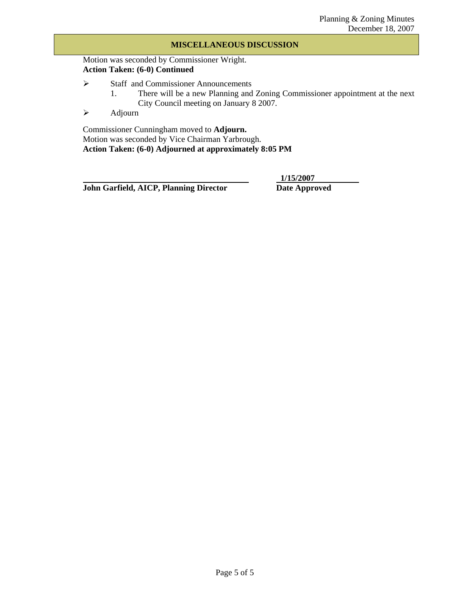#### **MISCELLANEOUS DISCUSSION**

Motion was seconded by Commissioner Wright. **Action Taken: (6-0) Continued** 

- ¾ Staff and Commissioner Announcements
	- 1. There will be a new Planning and Zoning Commissioner appointment at the next City Council meeting on January 8 2007.
- $\triangleright$  Adjourn

Commissioner Cunningham moved to **Adjourn.**  Motion was seconded by Vice Chairman Yarbrough. **Action Taken: (6-0) Adjourned at approximately 8:05 PM** 

**John Garfield, AICP, Planning Director Date Approved** 

 **1/15/2007**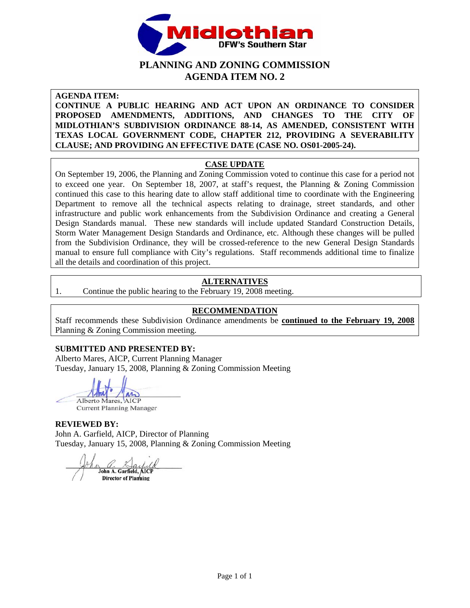

# **PLANNING AND ZONING COMMISSION AGENDA ITEM NO. 2**

**AGENDA ITEM:** 

**CONTINUE A PUBLIC HEARING AND ACT UPON AN ORDINANCE TO CONSIDER PROPOSED AMENDMENTS, ADDITIONS, AND CHANGES TO THE CITY OF MIDLOTHIAN'S SUBDIVISION ORDINANCE 88-14, AS AMENDED, CONSISTENT WITH TEXAS LOCAL GOVERNMENT CODE, CHAPTER 212, PROVIDING A SEVERABILITY CLAUSE; AND PROVIDING AN EFFECTIVE DATE (CASE NO. OS01-2005-24).** 

# **CASE UPDATE**

On September 19, 2006, the Planning and Zoning Commission voted to continue this case for a period not to exceed one year. On September 18, 2007, at staff's request, the Planning & Zoning Commission continued this case to this hearing date to allow staff additional time to coordinate with the Engineering Department to remove all the technical aspects relating to drainage, street standards, and other infrastructure and public work enhancements from the Subdivision Ordinance and creating a General Design Standards manual. These new standards will include updated Standard Construction Details, Storm Water Management Design Standards and Ordinance, etc. Although these changes will be pulled from the Subdivision Ordinance, they will be crossed-reference to the new General Design Standards manual to ensure full compliance with City's regulations. Staff recommends additional time to finalize all the details and coordination of this project.

# **ALTERNATIVES**

1. Continue the public hearing to the February 19, 2008 meeting.

# **RECOMMENDATION**

Staff recommends these Subdivision Ordinance amendments be **continued to the February 19, 2008** Planning & Zoning Commission meeting.

# **SUBMITTED AND PRESENTED BY:**

Alberto Mares, AICP, Current Planning Manager Tuesday, January 15, 2008, Planning & Zoning Commission Meeting

Alberto Mares, AICP

**Current Planning Manager** 

## **REVIEWED BY:**

John A. Garfield, AICP, Director of Planning Tuesday, January 15, 2008, Planning & Zoning Commission Meeting

John A. Garfield, AICI Director of Plamning